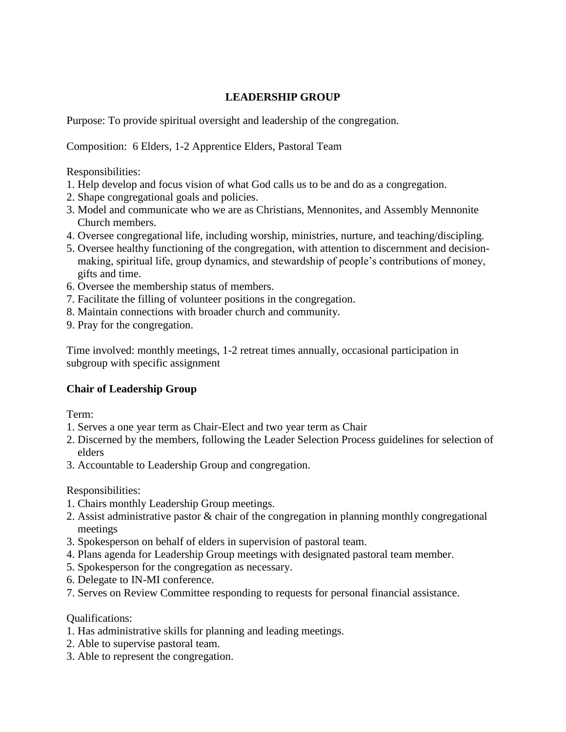### **LEADERSHIP GROUP**

Purpose: To provide spiritual oversight and leadership of the congregation.

Composition: 6 Elders, 1-2 Apprentice Elders, Pastoral Team

Responsibilities:

- 1. Help develop and focus vision of what God calls us to be and do as a congregation.
- 2. Shape congregational goals and policies.
- 3. Model and communicate who we are as Christians, Mennonites, and Assembly Mennonite Church members.
- 4. Oversee congregational life, including worship, ministries, nurture, and teaching/discipling.
- 5. Oversee healthy functioning of the congregation, with attention to discernment and decision making, spiritual life, group dynamics, and stewardship of people's contributions of money, gifts and time.
- 6. Oversee the membership status of members.
- 7. Facilitate the filling of volunteer positions in the congregation.
- 8. Maintain connections with broader church and community.
- 9. Pray for the congregation.

Time involved: monthly meetings, 1-2 retreat times annually, occasional participation in subgroup with specific assignment

# **Chair of Leadership Group**

Term:

- 1. Serves a one year term as Chair-Elect and two year term as Chair
- 2. Discerned by the members, following the Leader Selection Process guidelines for selection of elders
- 3. Accountable to Leadership Group and congregation.

Responsibilities:

- 1. Chairs monthly Leadership Group meetings.
- 2. Assist administrative pastor & chair of the congregation in planning monthly congregational meetings
- 3. Spokesperson on behalf of elders in supervision of pastoral team.
- 4. Plans agenda for Leadership Group meetings with designated pastoral team member.
- 5. Spokesperson for the congregation as necessary.
- 6. Delegate to IN-MI conference.
- 7. Serves on Review Committee responding to requests for personal financial assistance.

#### Qualifications:

- 1. Has administrative skills for planning and leading meetings.
- 2. Able to supervise pastoral team.
- 3. Able to represent the congregation.